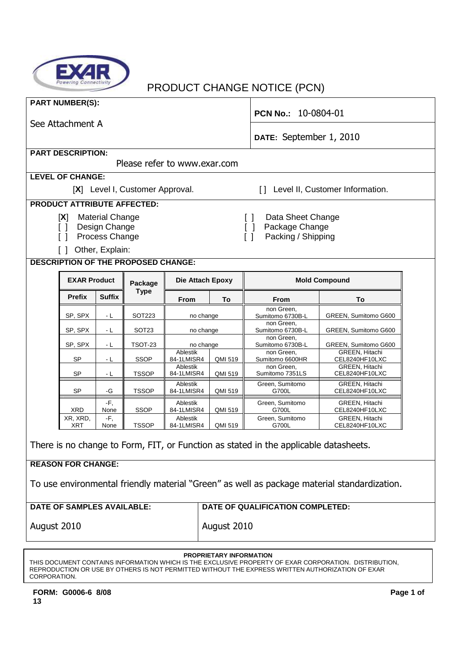

## PRODUCT CHANGE NOTICE (PCN)

|                                                                                             | <b>PART NUMBER(S):</b>             |                        |                                            |                         |           | PCN No.: 10-0804-01              |                                         |  |
|---------------------------------------------------------------------------------------------|------------------------------------|------------------------|--------------------------------------------|-------------------------|-----------|----------------------------------|-----------------------------------------|--|
| See Attachment A                                                                            |                                    |                        |                                            |                         |           |                                  |                                         |  |
|                                                                                             |                                    |                        |                                            |                         |           | DATE: September 1, 2010          |                                         |  |
|                                                                                             | <b>PART DESCRIPTION:</b>           |                        |                                            |                         |           |                                  |                                         |  |
|                                                                                             |                                    |                        | Please refer to www.exar.com               |                         |           |                                  |                                         |  |
|                                                                                             | <b>LEVEL OF CHANGE:</b>            |                        |                                            |                         |           |                                  |                                         |  |
|                                                                                             |                                    |                        | [X] Level I, Customer Approval.            |                         |           | $\Box$                           | Level II, Customer Information.         |  |
|                                                                                             | <b>PRODUCT ATTRIBUTE AFFECTED:</b> |                        |                                            |                         |           |                                  |                                         |  |
|                                                                                             | [X]                                | <b>Material Change</b> |                                            |                         |           | Data Sheet Change<br>$\Box$      |                                         |  |
|                                                                                             | $\lceil$ $\rceil$                  | Design Change          |                                            |                         |           | Package Change<br>$\Box$         |                                         |  |
|                                                                                             |                                    | Process Change         |                                            |                         |           | Packing / Shipping<br>$\Box$     |                                         |  |
|                                                                                             |                                    | Other, Explain:        |                                            |                         |           |                                  |                                         |  |
|                                                                                             |                                    |                        | <b>DESCRIPTION OF THE PROPOSED CHANGE:</b> |                         |           |                                  |                                         |  |
|                                                                                             | <b>EXAR Product</b>                |                        | Package                                    | <b>Die Attach Epoxy</b> |           | <b>Mold Compound</b>             |                                         |  |
|                                                                                             | <b>Prefix</b>                      | <b>Suffix</b>          | <b>Type</b>                                | From                    | To        | From                             | To                                      |  |
|                                                                                             | SP, SPX                            | - L                    | <b>SOT223</b>                              |                         | no change | non Green.<br>Sumitomo 6730B-L   | GREEN, Sumitomo G600                    |  |
|                                                                                             | SP, SPX                            | ٠L                     | SOT <sub>23</sub>                          |                         | no change | non Green,<br>Sumitomo 6730B-L   | GREEN, Sumitomo G600                    |  |
|                                                                                             | SP, SPX                            | ٠L                     | <b>TSOT-23</b>                             |                         | no change | non Green,<br>Sumitomo 6730B-L   | GREEN, Sumitomo G600                    |  |
|                                                                                             | SP                                 | - L                    | <b>SSOP</b>                                | Ablestik<br>84-1LMISR4  | QMI 519   | non Green,<br>Sumitomo 6600HR    | GREEN, Hitachi<br>CEL8240HF10LXC        |  |
|                                                                                             | SP                                 | - L                    | <b>TSSOP</b>                               | Ablestik<br>84-1LMISR4  | QMI 519   | non Green,<br>Sumitomo 7351LS    | <b>GREEN, Hitachi</b><br>CEL8240HF10LXC |  |
|                                                                                             | SP                                 | -G                     | <b>TSSOP</b>                               | Ablestik<br>84-1LMISR4  | QMI 519   | Green, Sumitomo<br>G700L         | GREEN, Hitachi<br>CEL8240HF10LXC        |  |
|                                                                                             | XRD                                | -F,<br>None            | <b>SSOP</b>                                | Ablestik<br>84-1LMISR4  | QMI 519   | Green, Sumitomo<br>G700L         | GREEN, Hitachi<br>CEL8240HF10LXC        |  |
|                                                                                             | XR, XRD,<br>XRT                    | -F,<br>None            | TSSOP                                      | Ablestik<br>84-1LMISR4  | QMI 519   | Green, Sumitomo<br>G700L         | GREEN, Hitachi<br>CEL8240HF10LXC        |  |
| There is no change to Form, FIT, or Function as stated in the applicable datasheets.        |                                    |                        |                                            |                         |           |                                  |                                         |  |
| <b>REASON FOR CHANGE:</b>                                                                   |                                    |                        |                                            |                         |           |                                  |                                         |  |
| To use environmental friendly material "Green" as well as package material standardization. |                                    |                        |                                            |                         |           |                                  |                                         |  |
|                                                                                             | <b>DATE OF SAMPLES AVAILABLE:</b>  |                        |                                            |                         |           | DATE OF QUALIFICATION COMPLETED: |                                         |  |
| August 2010                                                                                 |                                    |                        |                                            | August 2010             |           |                                  |                                         |  |

#### **PROPRIETARY INFORMATION**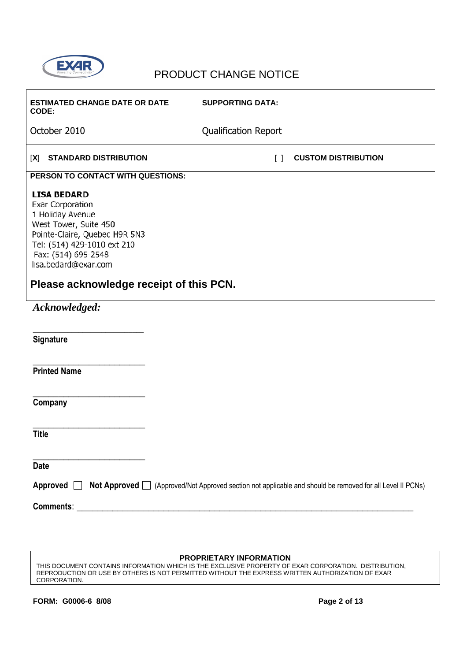

| <b>ESTIMATED CHANGE DATE OR DATE</b><br>CODE:                                                                                                                                                                                                        | <b>SUPPORTING DATA:</b>     |                                                                                                           |
|------------------------------------------------------------------------------------------------------------------------------------------------------------------------------------------------------------------------------------------------------|-----------------------------|-----------------------------------------------------------------------------------------------------------|
| October 2010                                                                                                                                                                                                                                         | <b>Qualification Report</b> |                                                                                                           |
| <b>STANDARD DISTRIBUTION</b><br>[X]                                                                                                                                                                                                                  | $\lceil$ $\rceil$           | <b>CUSTOM DISTRIBUTION</b>                                                                                |
| PERSON TO CONTACT WITH QUESTIONS:                                                                                                                                                                                                                    |                             |                                                                                                           |
| <b>LISA BEDARD</b><br><b>Exar Corporation</b><br>1 Holiday Avenue<br>West Tower, Suite 450<br>Pointe-Claire, Quebec H9R 5N3<br>Tel: (514) 429-1010 ext 210<br>Fax: (514) 695-2548<br>lisa.bedard@exar.com<br>Please acknowledge receipt of this PCN. |                             |                                                                                                           |
|                                                                                                                                                                                                                                                      |                             |                                                                                                           |
| Acknowledged:                                                                                                                                                                                                                                        |                             |                                                                                                           |
| Signature                                                                                                                                                                                                                                            |                             |                                                                                                           |
| <b>Printed Name</b>                                                                                                                                                                                                                                  |                             |                                                                                                           |
| Company                                                                                                                                                                                                                                              |                             |                                                                                                           |
| <b>Title</b>                                                                                                                                                                                                                                         |                             |                                                                                                           |
| <b>Date</b>                                                                                                                                                                                                                                          |                             |                                                                                                           |
| Approved $\Box$                                                                                                                                                                                                                                      |                             | Not Approved   (Approved/Not Approved section not applicable and should be removed for all Level II PCNs) |
|                                                                                                                                                                                                                                                      |                             |                                                                                                           |

#### **PROPRIETARY INFORMATION**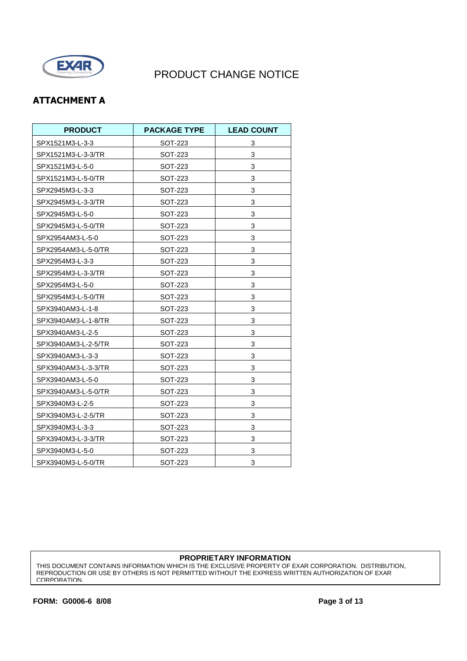

### **ATTACHMENT A**

| <b>PRODUCT</b>      | <b>PACKAGE TYPE</b> | <b>LEAD COUNT</b> |
|---------------------|---------------------|-------------------|
| SPX1521M3-L-3-3     | SOT-223             | 3                 |
| SPX1521M3-L-3-3/TR  | SOT-223             | 3                 |
| SPX1521M3-L-5-0     | SOT-223             | 3                 |
| SPX1521M3-L-5-0/TR  | SOT-223             | 3                 |
| SPX2945M3-L-3-3     | SOT-223             | 3                 |
| SPX2945M3-L-3-3/TR  | SOT-223             | 3                 |
| SPX2945M3-L-5-0     | SOT-223             | 3                 |
| SPX2945M3-L-5-0/TR  | SOT-223             | 3                 |
| SPX2954AM3-L-5-0    | SOT-223             | 3                 |
| SPX2954AM3-L-5-0/TR | SOT-223             | 3                 |
| SPX2954M3-L-3-3     | SOT-223             | 3                 |
| SPX2954M3-L-3-3/TR  | SOT-223             | 3                 |
| SPX2954M3-L-5-0     | SOT-223             | 3                 |
| SPX2954M3-L-5-0/TR  | SOT-223             | 3                 |
| SPX3940AM3-L-1-8    | SOT-223             | 3                 |
| SPX3940AM3-L-1-8/TR | SOT-223             | 3                 |
| SPX3940AM3-L-2-5    | SOT-223             | 3                 |
| SPX3940AM3-L-2-5/TR | SOT-223             | 3                 |
| SPX3940AM3-L-3-3    | SOT-223             | 3                 |
| SPX3940AM3-L-3-3/TR | SOT-223             | 3                 |
| SPX3940AM3-L-5-0    | SOT-223             | 3                 |
| SPX3940AM3-L-5-0/TR | SOT-223             | 3                 |
| SPX3940M3-L-2-5     | SOT-223             | 3                 |
| SPX3940M3-L-2-5/TR  | SOT-223             | 3                 |
| SPX3940M3-L-3-3     | SOT-223             | 3                 |
| SPX3940M3-L-3-3/TR  | SOT-223             | 3                 |
| SPX3940M3-L-5-0     | SOT-223             | 3                 |
| SPX3940M3-L-5-0/TR  | SOT-223             | 3                 |

#### **PROPRIETARY INFORMATION**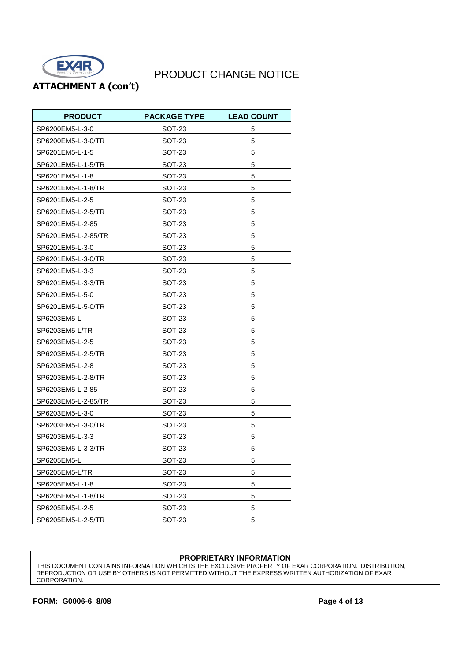

**ATTACHMENT A (con't)**

| <b>PRODUCT</b>      | <b>PACKAGE TYPE</b> | <b>LEAD COUNT</b> |
|---------------------|---------------------|-------------------|
| SP6200EM5-L-3-0     | SOT-23              | 5                 |
| SP6200EM5-L-3-0/TR  | SOT-23              | 5                 |
| SP6201EM5-L-1-5     | <b>SOT-23</b>       | 5                 |
| SP6201EM5-L-1-5/TR  | SOT-23              | 5                 |
| SP6201EM5-L-1-8     | SOT-23              | 5                 |
| SP6201EM5-L-1-8/TR  | SOT-23              | 5                 |
| SP6201EM5-L-2-5     | <b>SOT-23</b>       | 5                 |
| SP6201EM5-L-2-5/TR  | SOT-23              | 5                 |
| SP6201EM5-L-2-85    | SOT-23              | 5                 |
| SP6201EM5-L-2-85/TR | SOT-23              | 5                 |
| SP6201EM5-L-3-0     | SOT-23              | 5                 |
| SP6201EM5-L-3-0/TR  | SOT-23              | 5                 |
| SP6201EM5-L-3-3     | SOT-23              | 5                 |
| SP6201EM5-L-3-3/TR  | SOT-23              | 5                 |
| SP6201EM5-L-5-0     | SOT-23              | 5                 |
| SP6201EM5-L-5-0/TR  | <b>SOT-23</b>       | 5                 |
| SP6203EM5-L         | SOT-23              | 5                 |
| SP6203EM5-L/TR      | <b>SOT-23</b>       | 5                 |
| SP6203EM5-L-2-5     | SOT-23              | 5                 |
| SP6203EM5-L-2-5/TR  | SOT-23              | 5                 |
| SP6203EM5-L-2-8     | SOT-23              | 5                 |
| SP6203EM5-L-2-8/TR  | SOT-23              | 5                 |
| SP6203EM5-L-2-85    | SOT-23              | 5                 |
| SP6203EM5-L-2-85/TR | SOT-23              | 5                 |
| SP6203EM5-L-3-0     | SOT-23              | 5                 |
| SP6203EM5-L-3-0/TR  | SOT-23              | 5                 |
| SP6203EM5-L-3-3     | SOT-23              | 5                 |
| SP6203EM5-L-3-3/TR  | SOT-23              | 5                 |
| SP6205EM5-L         | SO 1-23             | 5                 |
| SP6205EM5-L/TR      | SOT-23              | 5                 |
| SP6205EM5-L-1-8     | SOT-23              | 5                 |
| SP6205EM5-L-1-8/TR  | SOT-23              | 5                 |
| SP6205EM5-L-2-5     | SOT-23              | 5                 |
| SP6205EM5-L-2-5/TR  | SOT-23              | 5                 |

#### **PROPRIETARY INFORMATION**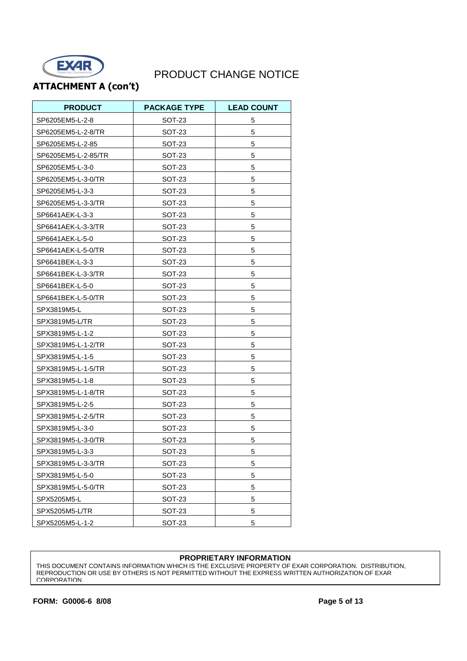

### **ATTACHMENT A (con't)**

| <b>PRODUCT</b>      | <b>PACKAGE TYPE</b> | <b>LEAD COUNT</b> |
|---------------------|---------------------|-------------------|
| SP6205EM5-L-2-8     | SOT-23              | 5                 |
| SP6205EM5-L-2-8/TR  | SOT-23              | 5                 |
| SP6205EM5-L-2-85    | SOT-23              | 5                 |
| SP6205EM5-L-2-85/TR | SOT-23              | 5                 |
| SP6205EM5-L-3-0     | SOT-23              | 5                 |
| SP6205EM5-L-3-0/TR  | <b>SOT-23</b>       | 5                 |
| SP6205EM5-L-3-3     | <b>SOT-23</b>       | 5                 |
| SP6205EM5-L-3-3/TR  | SOT-23              | 5                 |
| SP6641AEK-L-3-3     | SOT-23              | 5                 |
| SP6641AEK-L-3-3/TR  | SOT-23              | 5                 |
| SP6641AEK-L-5-0     | <b>SOT-23</b>       | 5                 |
| SP6641AEK-L-5-0/TR  | SOT-23              | 5                 |
| SP6641BEK-L-3-3     | SOT-23              | 5                 |
| SP6641BEK-L-3-3/TR  | SOT-23              | 5                 |
| SP6641BEK-L-5-0     | SOT-23              | 5                 |
| SP6641BEK-L-5-0/TR  | SOT-23              | 5                 |
| SPX3819M5-L         | SOT-23              | 5                 |
| SPX3819M5-L/TR      | <b>SOT-23</b>       | 5                 |
| SPX3819M5-L-1-2     | SOT-23              | 5                 |
| SPX3819M5-L-1-2/TR  | <b>SOT-23</b>       | 5                 |
| SPX3819M5-L-1-5     | SOT-23              | 5                 |
| SPX3819M5-L-1-5/TR  | SOT-23              | 5                 |
| SPX3819M5-L-1-8     | SOT-23              | 5                 |
| SPX3819M5-L-1-8/TR  | SOT-23              | 5                 |
| SPX3819M5-L-2-5     | SOT-23              | 5                 |
| SPX3819M5-L-2-5/TR  | SOT-23              | 5                 |
| SPX3819M5-L-3-0     | SOT-23              | 5                 |
| SPX3819M5-L-3-0/TR  | SOT-23              | 5                 |
| SPX3819M5-L-3-3     | SOT-23              | 5                 |
| SPX3819M5-L-3-3/TR  | SOT-23              | 5                 |
| SPX3819M5-L-5-0     | SOT-23              | 5                 |
| SPX3819M5-L-5-0/TR  | SOT-23              | 5                 |
| SPX5205M5-L         | SOT-23              | 5                 |
| SPX5205M5-L/TR      | SOT-23              | 5                 |
| SPX5205M5-L-1-2     | SOT-23              | 5                 |

#### **PROPRIETARY INFORMATION**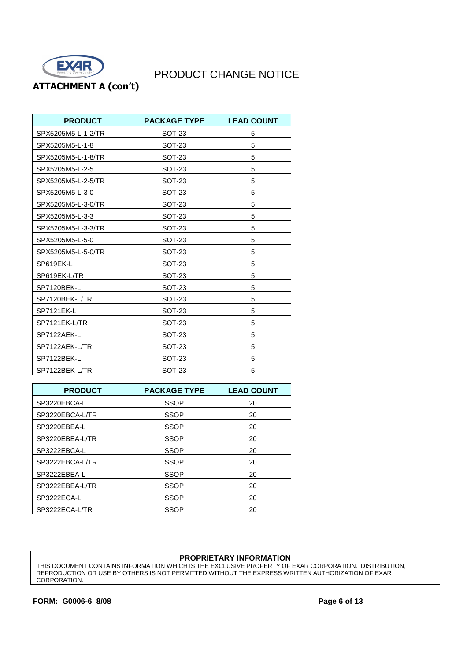

**ATTACHMENT A (con't)** 

| <b>PRODUCT</b>     | <b>PACKAGE TYPE</b> | <b>LEAD COUNT</b> |
|--------------------|---------------------|-------------------|
| SPX5205M5-L-1-2/TR | SOT-23              | 5                 |
| SPX5205M5-L-1-8    | SOT-23              | 5                 |
| SPX5205M5-L-1-8/TR | SOT-23              | 5                 |
| SPX5205M5-L-2-5    | <b>SOT-23</b>       | 5                 |
| SPX5205M5-L-2-5/TR | <b>SOT-23</b>       | 5                 |
| SPX5205M5-L-3-0    | <b>SOT-23</b>       | 5                 |
| SPX5205M5-L-3-0/TR | <b>SOT-23</b>       | 5                 |
| SPX5205M5-L-3-3    | <b>SOT-23</b>       | 5                 |
| SPX5205M5-L-3-3/TR | SOT-23              | 5                 |
| SPX5205M5-L-5-0    | <b>SOT-23</b>       | 5                 |
| SPX5205M5-L-5-0/TR | SOT-23              | 5                 |
| SP619EK-L          | <b>SOT-23</b>       | 5                 |
| SP619EK-L/TR       | <b>SOT-23</b>       | 5                 |
| SP7120BEK-L        | <b>SOT-23</b>       | 5                 |
| SP7120BEK-L/TR     | <b>SOT-23</b>       | 5                 |
| SP7121EK-L         | <b>SOT-23</b>       | 5                 |
| SP7121EK-L/TR      | <b>SOT-23</b>       | 5                 |
| SP7122AEK-L        | SOT-23              | 5                 |
| SP7122AEK-L/TR     | SOT-23              | 5                 |
| SP7122BEK-L        | SOT-23              | 5                 |
| SP7122BEK-L/TR     | SOT-23              | 5                 |

| <b>PRODUCT</b>  | <b>PACKAGE TYPE</b> | <b>LEAD COUNT</b> |
|-----------------|---------------------|-------------------|
| SP3220EBCA-L    | <b>SSOP</b>         | 20                |
| SP3220EBCA-L/TR | SSOP                | 20                |
| SP3220EBEA-L    | <b>SSOP</b>         | 20                |
| SP3220EBEA-L/TR | <b>SSOP</b>         | 20                |
| SP3222EBCA-L    | <b>SSOP</b>         | 20                |
| SP3222EBCA-L/TR | <b>SSOP</b>         | 20                |
| SP3222EBEA-L    | SSOP                | 20                |
| SP3222EBEA-L/TR | <b>SSOP</b>         | 20                |
| SP3222ECA-L     | <b>SSOP</b>         | 20                |
| SP3222ECA-L/TR  | <b>SSOP</b>         | 20                |

#### **PROPRIETARY INFORMATION**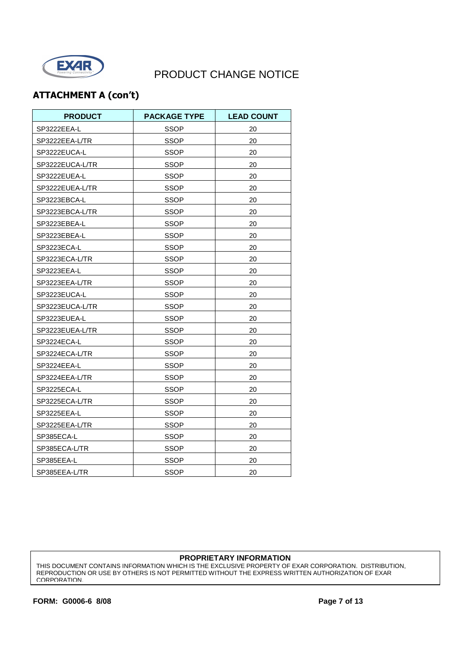

## **ATTACHMENT A (con't)**

| <b>PRODUCT</b>  | <b>PACKAGE TYPE</b> | <b>LEAD COUNT</b> |
|-----------------|---------------------|-------------------|
| SP3222EEA-L     | <b>SSOP</b>         | 20                |
| SP3222EEA-L/TR  | <b>SSOP</b>         | 20                |
| SP3222EUCA-L    | SSOP                | 20                |
| SP3222EUCA-L/TR | SSOP                | 20                |
| SP3222EUEA-L    | <b>SSOP</b>         | 20                |
| SP3222EUEA-L/TR | SSOP                | 20                |
| SP3223EBCA-L    | <b>SSOP</b>         | 20                |
| SP3223EBCA-L/TR | <b>SSOP</b>         | 20                |
| SP3223EBEA-L    | SSOP                | 20                |
| SP3223EBEA-L    | SSOP                | 20                |
| SP3223ECA-L     | <b>SSOP</b>         | 20                |
| SP3223ECA-L/TR  | SSOP                | 20                |
| SP3223EEA-L     | SSOP                | 20                |
| SP3223EEA-L/TR  | SSOP                | 20                |
| SP3223EUCA-L    | SSOP                | 20                |
| SP3223EUCA-L/TR | SSOP                | 20                |
| SP3223EUEA-L    | SSOP                | 20                |
| SP3223EUEA-L/TR | SSOP                | 20                |
| SP3224ECA-L     | SSOP                | 20                |
| SP3224ECA-L/TR  | SSOP                | 20                |
| SP3224EEA-L     | SSOP                | 20                |
| SP3224EEA-L/TR  | SSOP                | 20                |
| SP3225ECA-L     | SSOP                | 20                |
| SP3225ECA-L/TR  | <b>SSOP</b>         | 20                |
| SP3225EEA-L     | SSOP                | 20                |
| SP3225EEA-L/TR  | <b>SSOP</b>         | 20                |
| SP385ECA-L      | SSOP                | 20                |
| SP385ECA-L/TR   | SSOP                | 20                |
| SP385EEA-L      | <b>SSOP</b>         | 20                |
| SP385EEA-L/TR   | <b>SSOP</b>         | 20                |

#### **PROPRIETARY INFORMATION**

THIS DOCUMENT CONTAINS INFORMATION WHICH IS THE EXCLUSIVE PROPERTY OF EXAR CORPORATION. DISTRIBUTION, REPRODUCTION OR USE BY OTHERS IS NOT PERMITTED WITHOUT THE EXPRESS WRITTEN AUTHORIZATION OF EXAR CORPORATION.

**FORM: G0006-6 8/08 Page 7 of 13**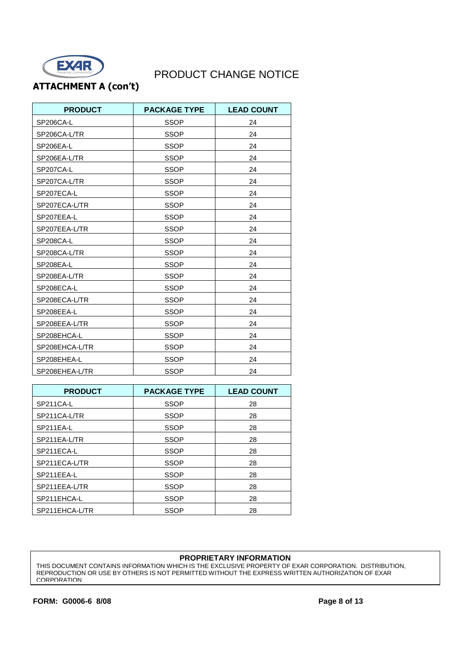

### **ATTACHMENT A (con't)**

| <b>PRODUCT</b> | <b>PACKAGE TYPE</b> | <b>LEAD COUNT</b> |
|----------------|---------------------|-------------------|
| SP206CA-L      | <b>SSOP</b>         | 24                |
| SP206CA-L/TR   | <b>SSOP</b>         | 24                |
| SP206EA-L      | <b>SSOP</b>         | 24                |
| SP206EA-L/TR   | <b>SSOP</b>         | 24                |
| SP207CA-L      | <b>SSOP</b>         | 24                |
| SP207CA-L/TR   | <b>SSOP</b>         | 24                |
| SP207ECA-L     | <b>SSOP</b>         | 24                |
| SP207ECA-L/TR  | <b>SSOP</b>         | 24                |
| SP207EEA-L     | <b>SSOP</b>         | 24                |
| SP207EEA-L/TR  | <b>SSOP</b>         | 24                |
| SP208CA-L      | <b>SSOP</b>         | 24                |
| SP208CA-L/TR   | <b>SSOP</b>         | 24                |
| SP208EA-L      | <b>SSOP</b>         | 24                |
| SP208EA-L/TR   | <b>SSOP</b>         | 24                |
| SP208ECA-L     | <b>SSOP</b>         | 24                |
| SP208ECA-L/TR  | <b>SSOP</b>         | 24                |
| SP208EEA-L     | <b>SSOP</b>         | 24                |
| SP208EEA-L/TR  | <b>SSOP</b>         | 24                |
| SP208EHCA-L    | <b>SSOP</b>         | 24                |
| SP208EHCA-L/TR | <b>SSOP</b>         | 24                |
| SP208EHEA-L    | <b>SSOP</b>         | 24                |
| SP208EHEA-L/TR | <b>SSOP</b>         | 24                |

| <b>PRODUCT</b> | <b>PACKAGE TYPE</b> | <b>LEAD COUNT</b> |
|----------------|---------------------|-------------------|
| SP211CA-L      | <b>SSOP</b>         | 28                |
| SP211CA-L/TR   | <b>SSOP</b>         | 28                |
| SP211EA-L      | SSOP                | 28                |
| SP211EA-L/TR   | <b>SSOP</b>         | 28                |
| SP211ECA-L     | <b>SSOP</b>         | 28                |
| SP211ECA-L/TR  | SSOP                | 28                |
| SP211EEA-L     | SSOP                | 28                |
| SP211EEA-L/TR  | <b>SSOP</b>         | 28                |
| SP211EHCA-L    | <b>SSOP</b>         | 28                |
| SP211EHCA-L/TR | SSOP                | 28                |

#### **PROPRIETARY INFORMATION**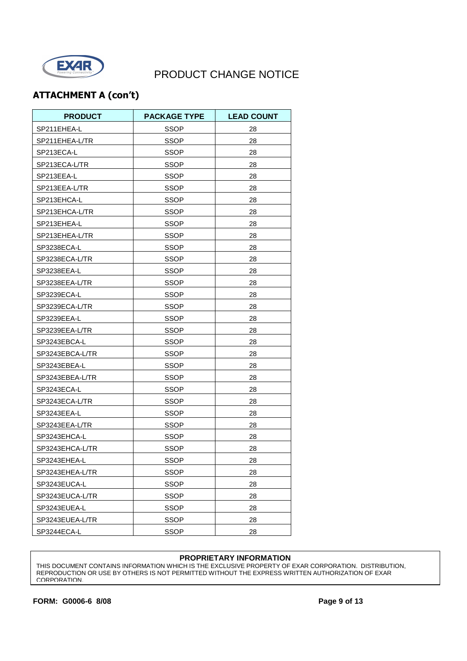

## **ATTACHMENT A (con't)**

| <b>PRODUCT</b>  | <b>PACKAGE TYPE</b> | <b>LEAD COUNT</b> |
|-----------------|---------------------|-------------------|
| SP211EHEA-L     | <b>SSOP</b>         | 28                |
| SP211EHEA-L/TR  | SSOP                | 28                |
| SP213ECA-L      | <b>SSOP</b>         | 28                |
| SP213ECA-L/TR   | SSOP                | 28                |
| SP213EEA-L      | SSOP                | 28                |
| SP213EEA-L/TR   | SSOP                | 28                |
| SP213EHCA-L     | SSOP                | 28                |
| SP213EHCA-L/TR  | <b>SSOP</b>         | 28                |
| SP213EHEA-L     | SSOP                | 28                |
| SP213EHEA-L/TR  | <b>SSOP</b>         | 28                |
| SP3238ECA-L     | SSOP                | 28                |
| SP3238ECA-L/TR  | <b>SSOP</b>         | 28                |
| SP3238EEA-L     | SSOP                | 28                |
| SP3238EEA-L/TR  | <b>SSOP</b>         | 28                |
| SP3239ECA-L     | <b>SSOP</b>         | 28                |
| SP3239ECA-L/TR  | SSOP                | 28                |
| SP3239EEA-L     | <b>SSOP</b>         | 28                |
| SP3239EEA-L/TR  | <b>SSOP</b>         | 28                |
| SP3243EBCA-L    | SSOP                | 28                |
| SP3243EBCA-L/TR | <b>SSOP</b>         | 28                |
| SP3243EBEA-L    | SSOP                | 28                |
| SP3243EBEA-L/TR | <b>SSOP</b>         | 28                |
| SP3243ECA-L     | <b>SSOP</b>         | 28                |
| SP3243ECA-L/TR  | SSOP                | 28                |
| SP3243EEA-L     | <b>SSOP</b>         | 28                |
| SP3243EEA-L/TR  | <b>SSOP</b>         | 28                |
| SP3243EHCA-L    | <b>SSOP</b>         | 28                |
| SP3243EHCA-L/TR | SSOP                | 28                |
| SP3243EHEA-L    | <b>SSOP</b>         | 28                |
| SP3243EHEA-L/TR | <b>SSOP</b>         | 28                |
| SP3243EUCA-L    | SSOP                | 28                |
| SP3243EUCA-L/TR | SSOP                | 28                |
| SP3243EUEA-L    | <b>SSOP</b>         | 28                |
| SP3243EUEA-L/TR | SSOP                | 28                |
| SP3244ECA-L     | SSOP                | 28                |

#### **PROPRIETARY INFORMATION**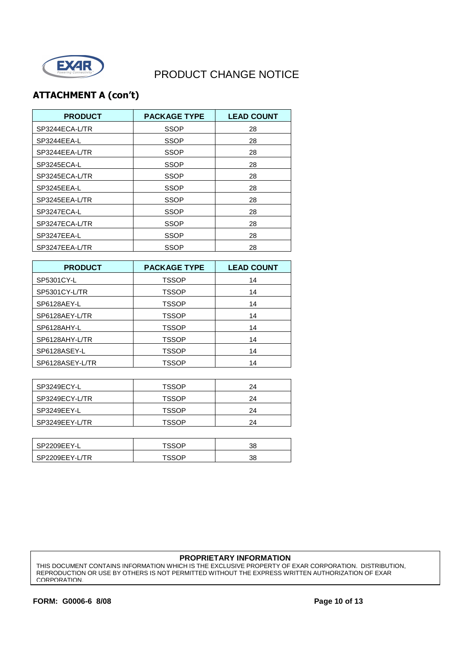

## **ATTACHMENT A (con't)**

| <b>PRODUCT</b> | <b>PACKAGE TYPE</b> | <b>LEAD COUNT</b> |
|----------------|---------------------|-------------------|
| SP3244ECA-L/TR | SSOP                | 28                |
| SP3244EEA-L    | <b>SSOP</b>         | 28                |
| SP3244EEA-L/TR | SSOP                | 28                |
| SP3245ECA-L    | SSOP                | 28                |
| SP3245ECA-L/TR | SSOP                | 28                |
| SP3245EEA-L    | SSOP                | 28                |
| SP3245EEA-L/TR | SSOP                | 28                |
| SP3247ECA-L    | SSOP                | 28                |
| SP3247ECA-L/TR | <b>SSOP</b>         | 28                |
| SP3247EEA-L    | SSOP                | 28                |
| SP3247EEA-L/TR | SSOP                | 28                |

| <b>PRODUCT</b>  | <b>PACKAGE TYPE</b> | <b>LEAD COUNT</b> |
|-----------------|---------------------|-------------------|
| SP5301CY-L      | <b>TSSOP</b>        | 14                |
| SP5301CY-L/TR   | <b>TSSOP</b>        | 14                |
| SP6128AEY-L     | <b>TSSOP</b>        | 14                |
| SP6128AEY-L/TR  | <b>TSSOP</b>        | 14                |
| SP6128AHY-L     | <b>TSSOP</b>        | 14                |
| SP6128AHY-L/TR  | <b>TSSOP</b>        | 14                |
| SP6128ASEY-L    | <b>TSSOP</b>        | 14                |
| SP6128ASEY-L/TR | TSSOP               | 14                |

| SP3249ECY-L    | <b>TSSOP</b> | 24 |
|----------------|--------------|----|
| SP3249ECY-L/TR | <b>TSSOP</b> | 24 |
| SP3249EEY-L    | <b>TSSOP</b> | 24 |
| SP3249EEY-L/TR | <b>TSSOP</b> | 24 |

| SP2209EEY-L    | ⊤ee∩d | 38 |
|----------------|-------|----|
| SP2209EEY-L/TR | теель | 38 |

#### **PROPRIETARY INFORMATION**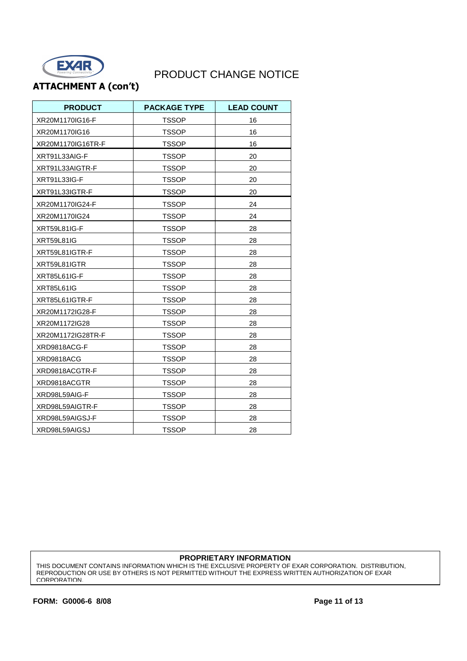

### **ATTACHMENT A (con't)**

| <b>PRODUCT</b>    | <b>PACKAGE TYPE</b> | <b>LEAD COUNT</b> |
|-------------------|---------------------|-------------------|
| XR20M1170IG16-F   | <b>TSSOP</b>        | 16                |
| XR20M1170IG16     | TSSOP               | 16                |
| XR20M1170IG16TR-F | TSSOP               | 16                |
| XRT91L33AIG-F     | <b>TSSOP</b>        | 20                |
| XRT91L33AIGTR-F   | TSSOP               | 20                |
| XRT91L33IG-F      | <b>TSSOP</b>        | 20                |
| XRT91L33IGTR-F    | <b>TSSOP</b>        | 20                |
| XR20M1170IG24-F   | <b>TSSOP</b>        | 24                |
| XR20M1170IG24     | <b>TSSOP</b>        | 24                |
| XRT59L81IG-F      | <b>TSSOP</b>        | 28                |
| <b>XRT59L81IG</b> | <b>TSSOP</b>        | 28                |
| XRT59L81IGTR-F    | <b>TSSOP</b>        | 28                |
| XRT59L81IGTR      | <b>TSSOP</b>        | 28                |
| XRT85L61IG-F      | <b>TSSOP</b>        | 28                |
| <b>XRT85L61IG</b> | <b>TSSOP</b>        | 28                |
| XRT85L61IGTR-F    | <b>TSSOP</b>        | 28                |
| XR20M1172IG28-F   | <b>TSSOP</b>        | 28                |
| XR20M1172IG28     | <b>TSSOP</b>        | 28                |
| XR20M1172IG28TR-F | <b>TSSOP</b>        | 28                |
| XRD9818ACG-F      | <b>TSSOP</b>        | 28                |
| XRD9818ACG        | <b>TSSOP</b>        | 28                |
| XRD9818ACGTR-F    | <b>TSSOP</b>        | 28                |
| XRD9818ACGTR      | <b>TSSOP</b>        | 28                |
| XRD98L59AIG-F     | <b>TSSOP</b>        | 28                |
| XRD98L59AIGTR-F   | TSSOP               | 28                |
| XRD98L59AIGSJ-F   | <b>TSSOP</b>        | 28                |
| XRD98L59AIGSJ     | <b>TSSOP</b>        | 28                |

#### **PROPRIETARY INFORMATION**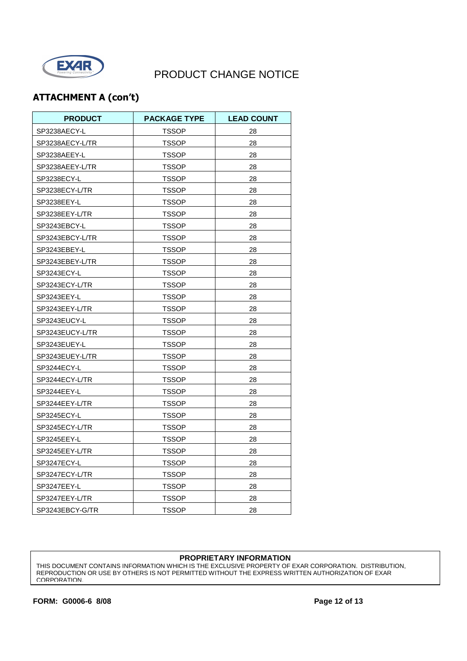

## **ATTACHMENT A (con't)**

| <b>PRODUCT</b>  | <b>PACKAGE TYPE</b> | <b>LEAD COUNT</b> |
|-----------------|---------------------|-------------------|
| SP3238AECY-L    | <b>TSSOP</b>        | 28                |
| SP3238AECY-L/TR | TSSOP               | 28                |
| SP3238AEEY-L    | TSSOP               | 28                |
| SP3238AEEY-L/TR | TSSOP               | 28                |
| SP3238ECY-L     | TSSOP               | 28                |
| SP3238ECY-L/TR  | <b>TSSOP</b>        | 28                |
| SP3238EEY-L     | TSSOP               | 28                |
| SP3238EEY-L/TR  | <b>TSSOP</b>        | 28                |
| SP3243EBCY-L    | TSSOP               | 28                |
| SP3243EBCY-L/TR | TSSOP               | 28                |
| SP3243EBEY-L    | TSSOP               | 28                |
| SP3243EBEY-L/TR | TSSOP               | 28                |
| SP3243ECY-L     | TSSOP               | 28                |
| SP3243ECY-L/TR  | TSSOP               | 28                |
| SP3243EEY-L     | TSSOP               | 28                |
| SP3243EEY-L/TR  | <b>TSSOP</b>        | 28                |
| SP3243EUCY-L    | <b>TSSOP</b>        | 28                |
| SP3243EUCY-L/TR | <b>TSSOP</b>        | 28                |
| SP3243EUEY-L    | TSSOP               | 28                |
| SP3243EUEY-L/TR | TSSOP               | 28                |
| SP3244ECY-L     | <b>TSSOP</b>        | 28                |
| SP3244ECY-L/TR  | <b>TSSOP</b>        | 28                |
| SP3244EEY-L     | TSSOP               | 28                |
| SP3244EEY-L/TR  | TSSOP               | 28                |
| SP3245ECY-L     | <b>TSSOP</b>        | 28                |
| SP3245ECY-L/TR  | TSSOP               | 28                |
| SP3245EEY-L     | <b>TSSOP</b>        | 28                |
| SP3245EEY-L/TR  | TSSOP               | 28                |
| SP3247ECY-L     | TSSOP               | 28                |
| SP3247ECY-L/TR  | TSSOP               | 28                |
| SP3247EEY-L     | <b>TSSOP</b>        | 28                |
| SP3247EEY-L/TR  | <b>TSSOP</b>        | 28                |
| SP3243EBCY-G/TR | TSSOP               | 28                |

#### **PROPRIETARY INFORMATION**